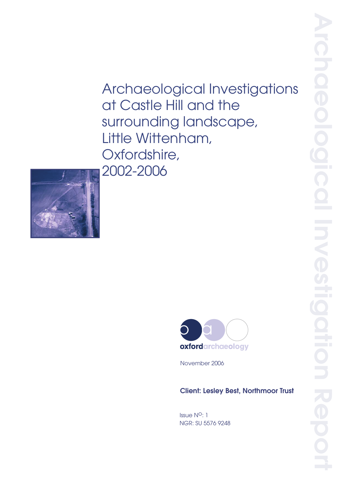# Archaeological Investigations<br>
at Castle Hill and the<br>
surrounding landscape,<br>
Diffle Wittenham,<br>
Oxfordshire,<br>
2002–2006<br>
Archaeology<br>
Movember 2006<br>
Client: Lesley Best, Northmoor Trust<br>
Elent: Lesley Best, Northmoor Tru at Castle Hill and the surrounding landscape, Little Wittenham, Oxfordshire, 2002-2006





November 2006

# Client: Lesley Best, Northmoor Trust

Issue N<sup>o</sup>: 1 NGR: SU 5576 9248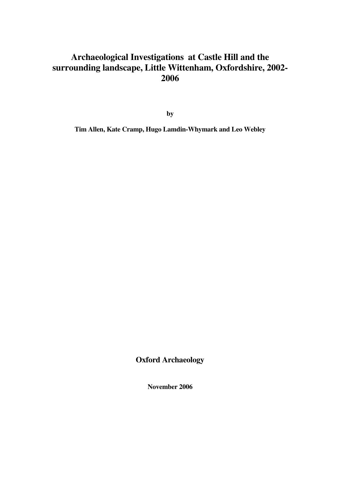# **Archaeological Investigations at Castle Hill and the surrounding landscape, Little Wittenham, Oxfordshire, 2002- 2006**

**by** 

**Tim Allen, Kate Cramp, Hugo Lamdin-Whymark and Leo Webley** 

**Oxford Archaeology** 

**November 2006**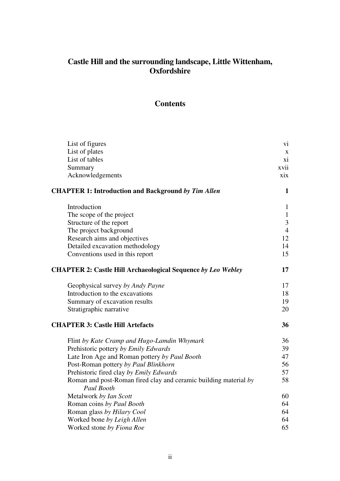# **Castle Hill and the surrounding landscape, Little Wittenham, Oxfordshire**

# **Contents**

| List of figures                                                                | vi             |
|--------------------------------------------------------------------------------|----------------|
| List of plates                                                                 | X              |
| List of tables                                                                 | xi             |
| Summary                                                                        | xvii           |
| Acknowledgements                                                               | xix            |
| <b>CHAPTER 1: Introduction and Background by Tim Allen</b>                     | $\mathbf{1}$   |
| Introduction                                                                   | $\mathbf{1}$   |
| The scope of the project                                                       | $\mathbf{1}$   |
| Structure of the report                                                        | $\overline{3}$ |
| The project background                                                         | $\overline{4}$ |
| Research aims and objectives                                                   | 12             |
| Detailed excavation methodology                                                | 14             |
| Conventions used in this report                                                | 15             |
| <b>CHAPTER 2: Castle Hill Archaeological Sequence by Leo Webley</b>            | 17             |
| Geophysical survey by Andy Payne                                               | 17             |
| Introduction to the excavations                                                | 18             |
| Summary of excavation results                                                  | 19             |
| Stratigraphic narrative                                                        | 20             |
| <b>CHAPTER 3: Castle Hill Artefacts</b>                                        | 36             |
| Flint by Kate Cramp and Hugo-Lamdin Whymark                                    | 36             |
| Prehistoric pottery by Emily Edwards                                           | 39             |
| Late Iron Age and Roman pottery by Paul Booth                                  | 47             |
| Post-Roman pottery by Paul Blinkhorn                                           | 56             |
| Prehistoric fired clay by Emily Edwards                                        | 57             |
| Roman and post-Roman fired clay and ceramic building material by<br>Paul Booth | 58             |
| Metalwork by Ian Scott                                                         | 60             |
| Roman coins by Paul Booth                                                      | 64             |
| Roman glass by Hilary Cool                                                     | 64             |
| Worked bone by Leigh Allen                                                     | 64             |
| Worked stone by Fiona Roe                                                      | 65             |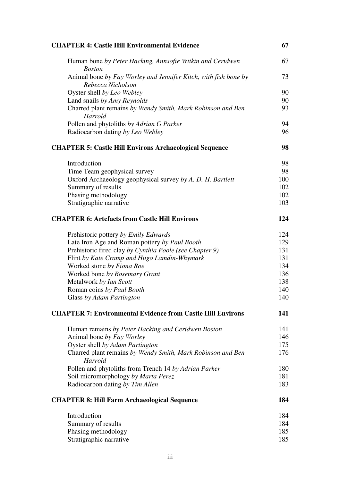| <b>CHAPTER 4: Castle Hill Environmental Evidence</b>                                 | 67  |
|--------------------------------------------------------------------------------------|-----|
| Human bone by Peter Hacking, Annsofie Witkin and Ceridwen<br><b>Boston</b>           | 67  |
| Animal bone by Fay Worley and Jennifer Kitch, with fish bone by<br>Rebecca Nicholson | 73  |
| Oyster shell by Leo Webley                                                           | 90  |
| Land snails by Amy Reynolds                                                          | 90  |
| Charred plant remains by Wendy Smith, Mark Robinson and Ben<br>Harrold               | 93  |
| Pollen and phytoliths by Adrian G Parker                                             | 94  |
| Radiocarbon dating by Leo Webley                                                     | 96  |
| <b>CHAPTER 5: Castle Hill Environs Archaeological Sequence</b>                       | 98  |
| Introduction                                                                         | 98  |
| Time Team geophysical survey                                                         | 98  |
| Oxford Archaeology geophysical survey by A. D. H. Bartlett                           | 100 |
| Summary of results                                                                   | 102 |
| Phasing methodology                                                                  | 102 |
| Stratigraphic narrative                                                              | 103 |
| <b>CHAPTER 6: Artefacts from Castle Hill Environs</b>                                | 124 |
| Prehistoric pottery by Emily Edwards                                                 | 124 |
| Late Iron Age and Roman pottery by Paul Booth                                        | 129 |
| Prehistoric fired clay by Cynthia Poole (see Chapter 9)                              | 131 |
| Flint by Kate Cramp and Hugo Lamdin-Whymark                                          | 131 |
| Worked stone by Fiona Roe                                                            | 134 |
| Worked bone by Rosemary Grant                                                        | 136 |
| Metalwork by Ian Scott                                                               | 138 |
| Roman coins by Paul Booth                                                            | 140 |
| Glass by Adam Partington                                                             | 140 |
| <b>CHAPTER 7: Environmental Evidence from Castle Hill Environs</b>                   | 141 |
| Human remains by Peter Hacking and Ceridwen Boston                                   | 141 |
| Animal bone by Fay Worley                                                            | 146 |
| Oyster shell by Adam Partington                                                      | 175 |
| Charred plant remains by Wendy Smith, Mark Robinson and Ben<br>Harrold               | 176 |
| Pollen and phytoliths from Trench 14 by Adrian Parker                                | 180 |
| Soil micromorphology by Marta Perez                                                  | 181 |
| Radiocarbon dating by Tim Allen                                                      | 183 |
| <b>CHAPTER 8: Hill Farm Archaeological Sequence</b>                                  | 184 |
| Introduction                                                                         | 184 |
| Summary of results                                                                   | 184 |
| Phasing methodology                                                                  | 185 |
| Stratigraphic narrative                                                              | 185 |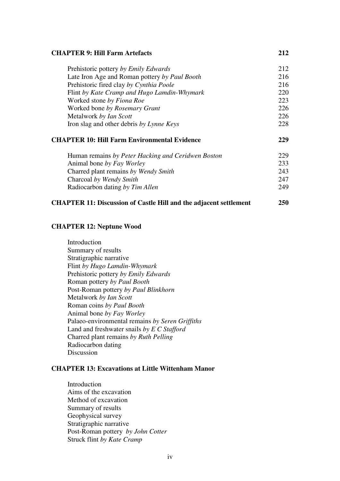#### **CHAPTER 9: Hill Farm Artefacts 212**

| Prehistoric pottery by Emily Edwards                | 212 |
|-----------------------------------------------------|-----|
| Late Iron Age and Roman pottery by Paul Booth       | 216 |
| Prehistoric fired clay by Cynthia Poole             | 216 |
| Flint by Kate Cramp and Hugo Lamdin-Whymark         | 220 |
| Worked stone by Fiona Roe                           | 223 |
| Worked bone by Rosemary Grant                       | 226 |
| Metalwork by Ian Scott                              | 226 |
| Iron slag and other debris by Lynne Keys            | 228 |
| <b>CHAPTER 10: Hill Farm Environmental Evidence</b> | 229 |
| Human remains by Peter Hacking and Ceridwen Boston  | 229 |
| Animal bone by Fay Worley                           | 233 |
| Charred plant remains by Wendy Smith                | 243 |
| Charcoal by Wendy Smith                             | 247 |
| Radiocarbon dating by Tim Allen                     | 249 |

# **CHAPTER 11: Discussion of Castle Hill and the adjacent settlement 250**

#### **CHAPTER 12: Neptune Wood**

Introduction Summary of results Stratigraphic narrative Flint *by Hugo Lamdin-Whymark* Prehistoric pottery *by Emily Edwards* Roman pottery *by Paul Booth* Post-Roman pottery *by Paul Blinkhorn* Metalwork *by Ian Scott* Roman coins *by Paul Booth* Animal bone *by Fay Worley* Palaeo-environmental remains *by Seren Griffiths* Land and freshwater snails *by E C Stafford* Charred plant remains *by Ruth Pelling* Radiocarbon dating Discussion

## **CHAPTER 13: Excavations at Little Wittenham Manor**

Introduction Aims of the excavation Method of excavation Summary of results Geophysical survey Stratigraphic narrative Post-Roman pottery *by John Cotter* Struck flint *by Kate Cramp*